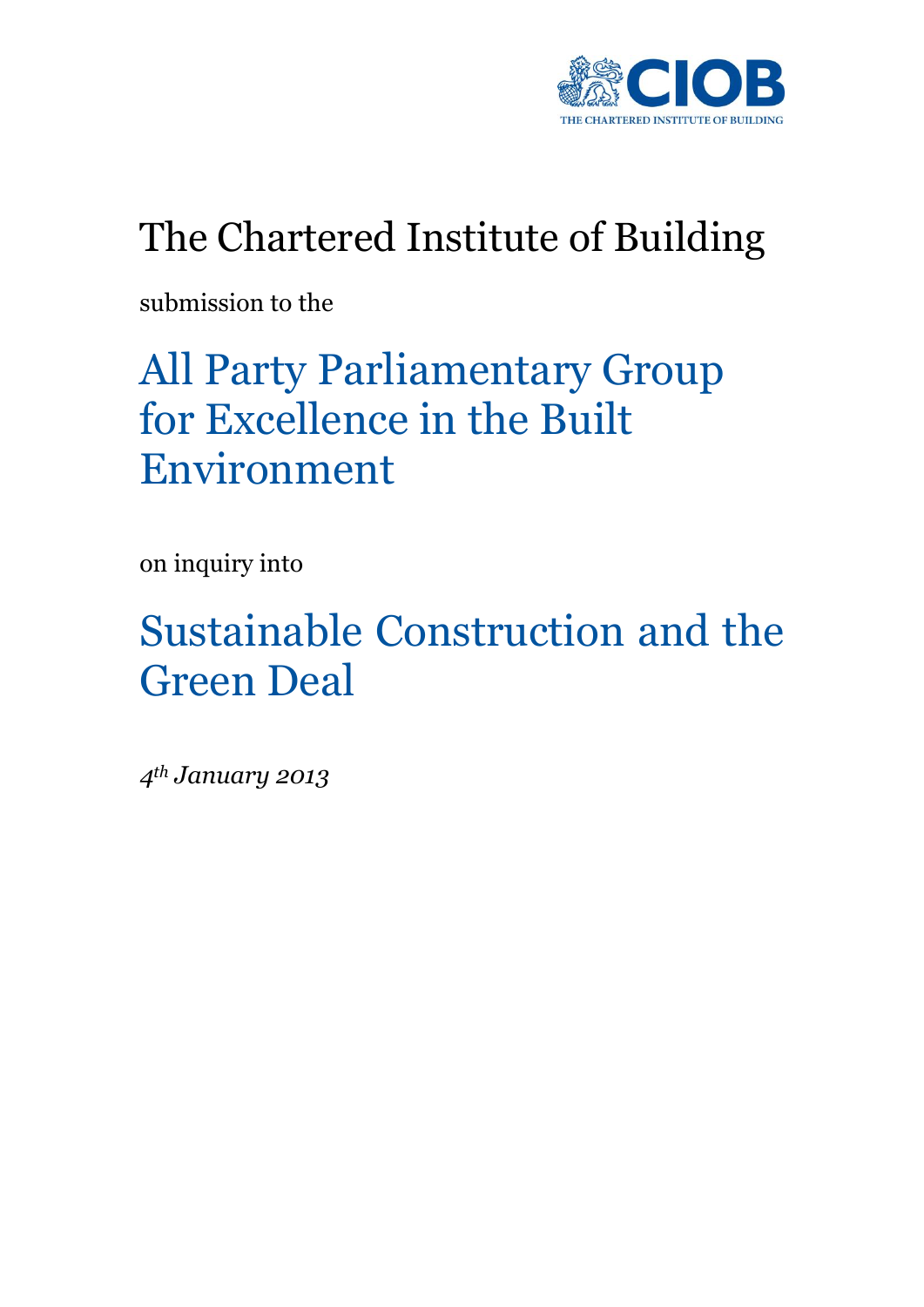

## The Chartered Institute of Building

submission to the

# All Party Parliamentary Group for Excellence in the Built Environment

on inquiry into

# Sustainable Construction and the Green Deal

*4th January 2013*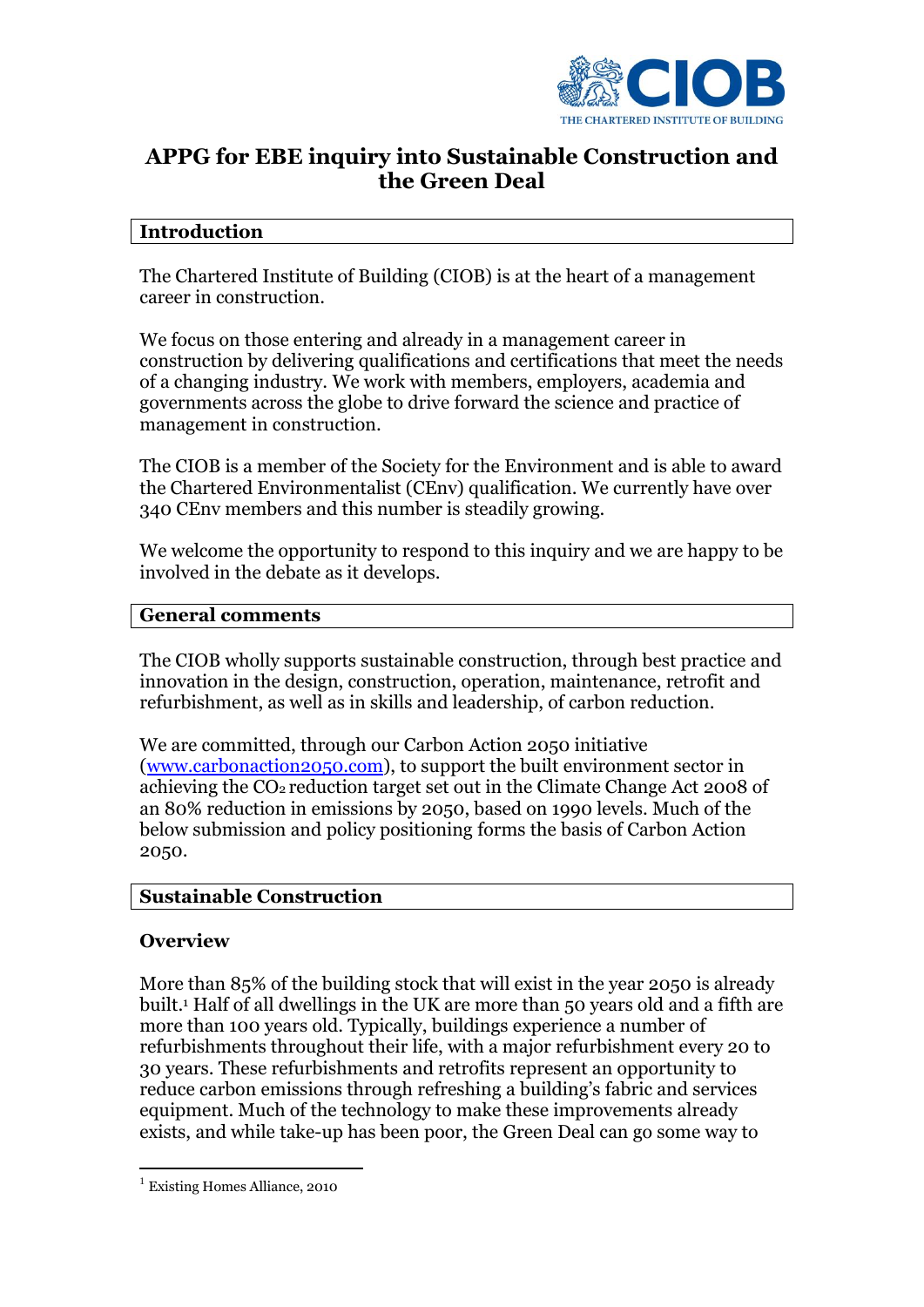

## **APPG for EBE inquiry into Sustainable Construction and the Green Deal**

### **Introduction**

The Chartered Institute of Building (CIOB) is at the heart of a management career in construction.

We focus on those entering and already in a management career in construction by delivering qualifications and certifications that meet the needs of a changing industry. We work with members, employers, academia and governments across the globe to drive forward the science and practice of management in construction.

The CIOB is a member of the Society for the Environment and is able to award the Chartered Environmentalist (CEnv) qualification. We currently have over 340 CEnv members and this number is steadily growing.

We welcome the opportunity to respond to this inquiry and we are happy to be involved in the debate as it develops.

#### **General comments**

The CIOB wholly supports sustainable construction, through best practice and innovation in the design, construction, operation, maintenance, retrofit and refurbishment, as well as in skills and leadership, of carbon reduction.

We are committed, through our Carbon Action 2050 initiative [\(www.carbonaction2050.com\)](http://www.carbonaction2050.com/), to support the built environment sector in achieving the CO<sup>2</sup> reduction target set out in the Climate Change Act 2008 of an 80% reduction in emissions by 2050, based on 1990 levels. Much of the below submission and policy positioning forms the basis of Carbon Action 2050.

## **Sustainable Construction**

#### **Overview**

1

More than 85% of the building stock that will exist in the year 2050 is already built.<sup>1</sup> Half of all dwellings in the UK are more than 50 years old and a fifth are more than 100 years old. Typically, buildings experience a number of refurbishments throughout their life, with a major refurbishment every 20 to 30 years. These refurbishments and retrofits represent an opportunity to reduce carbon emissions through refreshing a building's fabric and services equipment. Much of the technology to make these improvements already exists, and while take-up has been poor, the Green Deal can go some way to

<sup>&</sup>lt;sup>1</sup> Existing Homes Alliance, 2010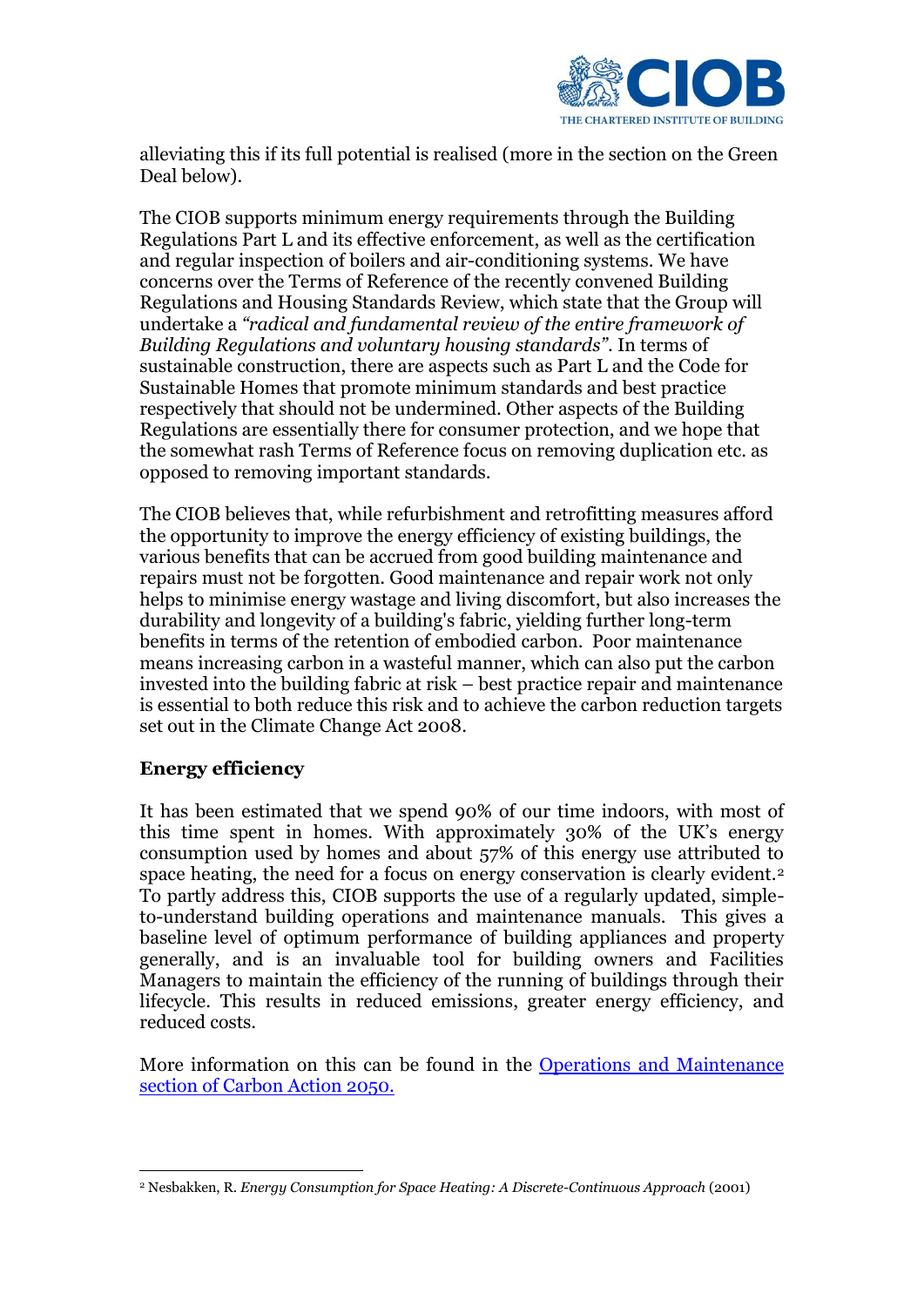

alleviating this if its full potential is realised (more in the section on the Green Deal below).

The CIOB supports minimum energy requirements through the Building Regulations Part L and its effective enforcement, as well as the certification and regular inspection of boilers and air-conditioning systems. We have concerns over the Terms of Reference of the recently convened Building Regulations and Housing Standards Review, which state that the Group will undertake a *"radical and fundamental review of the entire framework of Building Regulations and voluntary housing standards"*. In terms of sustainable construction, there are aspects such as Part L and the Code for Sustainable Homes that promote minimum standards and best practice respectively that should not be undermined. Other aspects of the Building Regulations are essentially there for consumer protection, and we hope that the somewhat rash Terms of Reference focus on removing duplication etc. as opposed to removing important standards.

The CIOB believes that, while refurbishment and retrofitting measures afford the opportunity to improve the energy efficiency of existing buildings, the various benefits that can be accrued from good building maintenance and repairs must not be forgotten. Good maintenance and repair work not only helps to minimise energy wastage and living discomfort, but also increases the durability and longevity of a building's fabric, yielding further long-term benefits in terms of the retention of embodied carbon. Poor maintenance means increasing carbon in a wasteful manner, which can also put the carbon invested into the building fabric at risk – best practice repair and maintenance is essential to both reduce this risk and to achieve the carbon reduction targets set out in the Climate Change Act 2008.

## **Energy efficiency**

It has been estimated that we spend 90% of our time indoors, with most of this time spent in homes. With approximately 30% of the UK's energy consumption used by homes and about 57% of this energy use attributed to space heating, the need for a focus on energy conservation is clearly evident.<sup>2</sup> To partly address this, CIOB supports the use of a regularly updated, simpleto-understand building operations and maintenance manuals. This gives a baseline level of optimum performance of building appliances and property generally, and is an invaluable tool for building owners and Facilities Managers to maintain the efficiency of the running of buildings through their lifecycle. This results in reduced emissions, greater energy efficiency, and reduced costs.

More information on this can be found in the [Operations and Maintenance](http://www.carbonaction2050.com/resources/carbon-hub/action-plan/operations-maintenance) [section of Carbon Action 2050.](http://www.carbonaction2050.com/resources/carbon-hub/action-plan/operations-maintenance)

<sup>&</sup>lt;u>.</u> <sup>2</sup> Nesbakken, R. *Energy Consumption for Space Heating: A Discrete-Continuous Approach* (2001)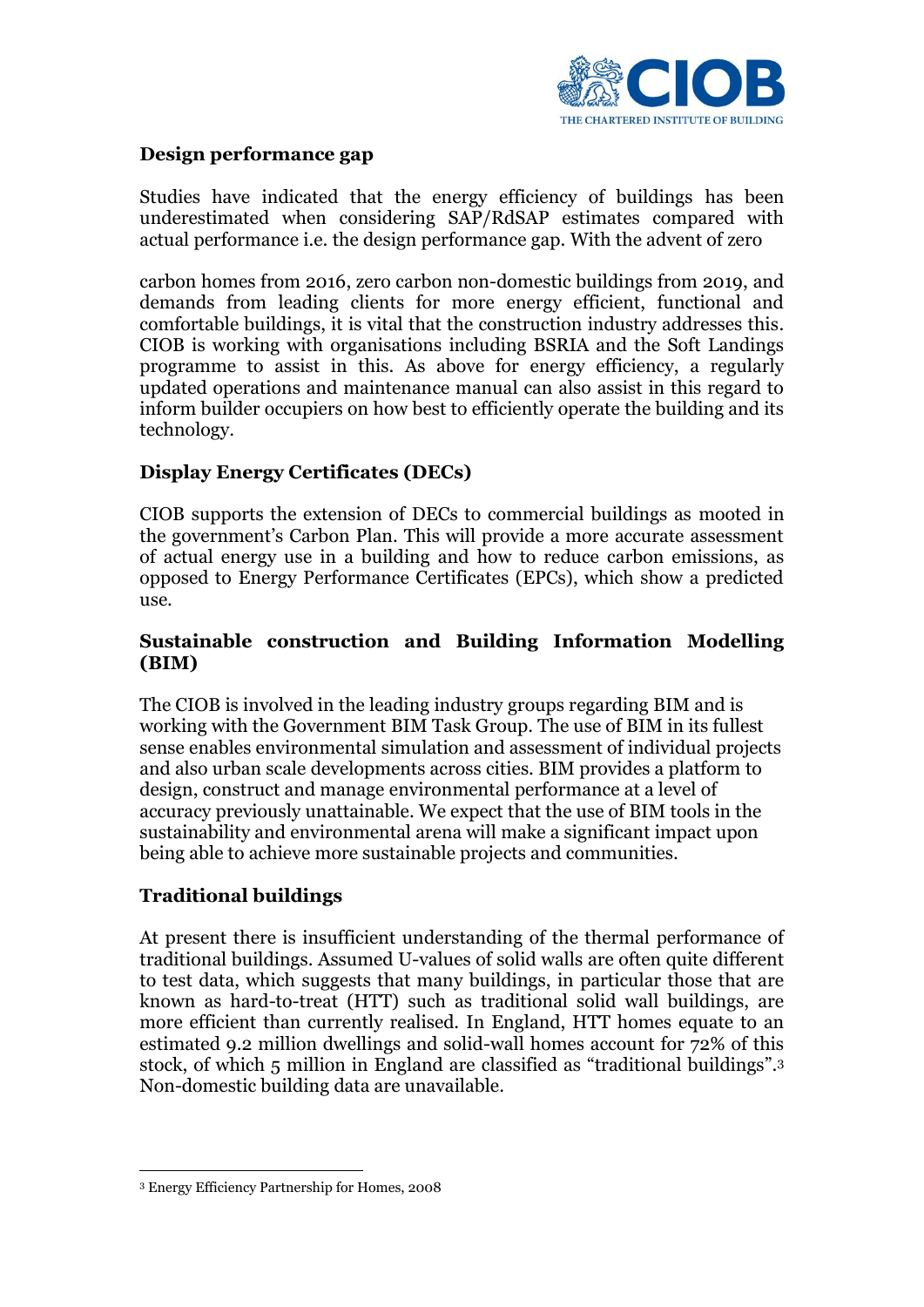

### **Design performance gap**

Studies have indicated that the energy efficiency of buildings has been underestimated when considering SAP/RdSAP estimates compared with actual performance i.e. the design performance gap. With the advent of zero

carbon homes from 2016, zero carbon non-domestic buildings from 2019, and demands from leading clients for more energy efficient, functional and comfortable buildings, it is vital that the construction industry addresses this. CIOB is working with organisations including BSRIA and the Soft Landings programme to assist in this. As above for energy efficiency, a regularly updated operations and maintenance manual can also assist in this regard to inform builder occupiers on how best to efficiently operate the building and its technology.

## **Display Energy Certificates (DECs)**

CIOB supports the extension of DECs to commercial buildings as mooted in the government's Carbon Plan. This will provide a more accurate assessment of actual energy use in a building and how to reduce carbon emissions, as opposed to Energy Performance Certificates (EPCs), which show a predicted use.

### **Sustainable construction and Building Information Modelling (BIM)**

The CIOB is involved in the leading industry groups regarding BIM and is working with the Government BIM Task Group. The use of BIM in its fullest sense enables environmental simulation and assessment of individual projects and also urban scale developments across cities. BIM provides a platform to design, construct and manage environmental performance at a level of accuracy previously unattainable. We expect that the use of BIM tools in the sustainability and environmental arena will make a significant impact upon being able to achieve more sustainable projects and communities.

## **Traditional buildings**

At present there is insufficient understanding of the thermal performance of traditional buildings. Assumed U-values of solid walls are often quite different to test data, which suggests that many buildings, in particular those that are known as hard-to-treat (HTT) such as traditional solid wall buildings, are more efficient than currently realised. In England, HTT homes equate to an estimated 9.2 million dwellings and solid-wall homes account for 72% of this stock, of which 5 million in England are classified as "traditional buildings".<sup>3</sup> Non-domestic building data are unavailable.

<u>.</u>

<sup>3</sup> Energy Efficiency Partnership for Homes, 2008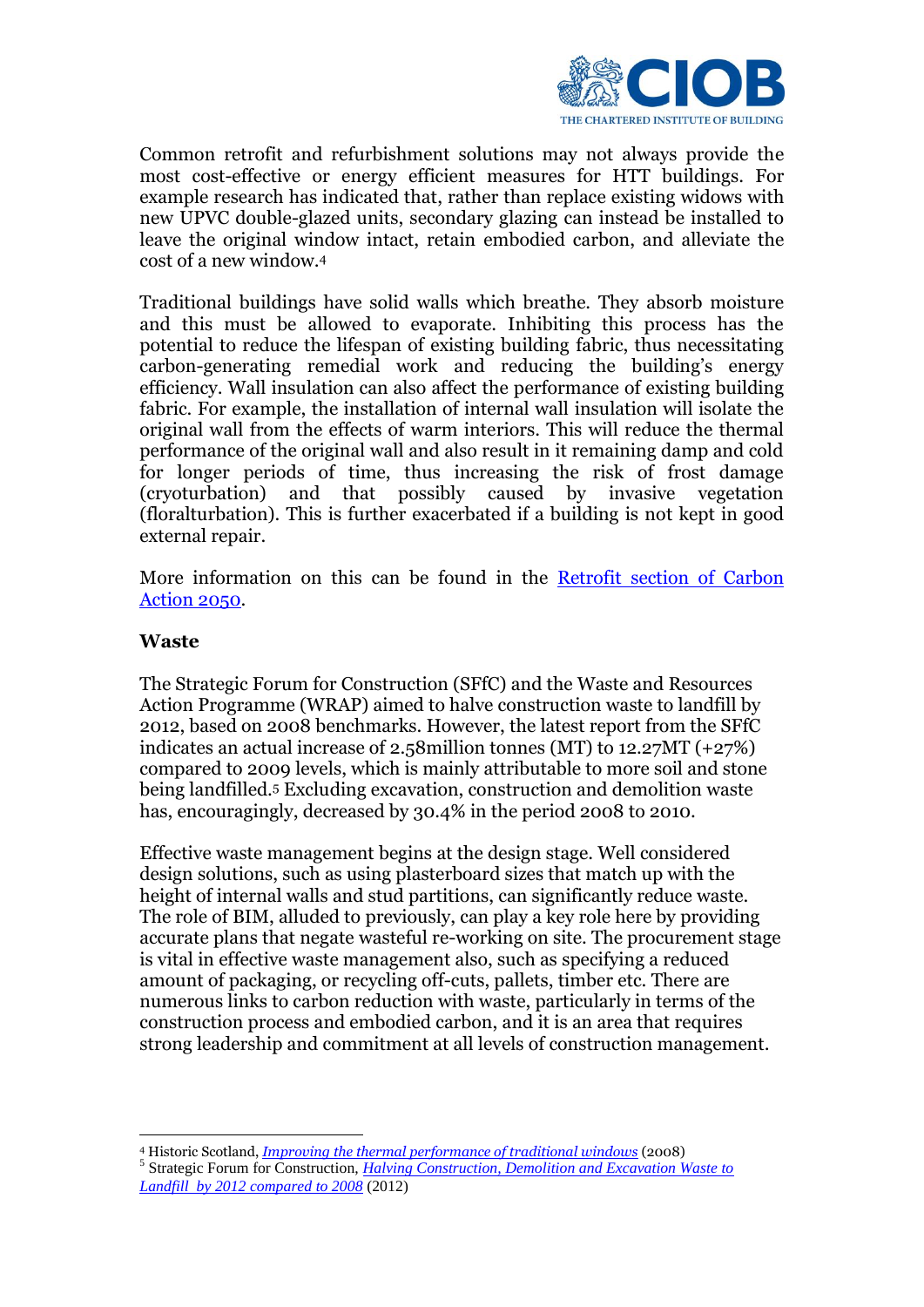

Common retrofit and refurbishment solutions may not always provide the most cost-effective or energy efficient measures for HTT buildings. For example research has indicated that, rather than replace existing widows with new UPVC double-glazed units, secondary glazing can instead be installed to leave the original window intact, retain embodied carbon, and alleviate the cost of a new window.<sup>4</sup>

Traditional buildings have solid walls which breathe. They absorb moisture and this must be allowed to evaporate. Inhibiting this process has the potential to reduce the lifespan of existing building fabric, thus necessitating carbon-generating remedial work and reducing the building's energy efficiency. Wall insulation can also affect the performance of existing building fabric. For example, the installation of internal wall insulation will isolate the original wall from the effects of warm interiors. This will reduce the thermal performance of the original wall and also result in it remaining damp and cold for longer periods of time, thus increasing the risk of frost damage (cryoturbation) and that possibly caused by invasive vegetation (floralturbation). This is further exacerbated if a building is not kept in good external repair.

More information on this can be found in the [Retrofit section of Carbon](http://www.carbonaction2050.com/resources/carbon-hub/action-plan/refurb-retrofit)  [Action 2050.](http://www.carbonaction2050.com/resources/carbon-hub/action-plan/refurb-retrofit)

#### **Waste**

The Strategic Forum for Construction (SFfC) and the Waste and Resources Action Programme (WRAP) aimed to halve construction waste to landfill by 2012, based on 2008 benchmarks. However, the latest report from the SFfC indicates an actual increase of 2.58million tonnes (MT) to 12.27MT (+27%) compared to 2009 levels, which is mainly attributable to more soil and stone being landfilled.<sup>5</sup> Excluding excavation, construction and demolition waste has, encouragingly, decreased by 30.4% in the period 2008 to 2010.

Effective waste management begins at the design stage. Well considered design solutions, such as using plasterboard sizes that match up with the height of internal walls and stud partitions, can significantly reduce waste. The role of BIM, alluded to previously, can play a key role here by providing accurate plans that negate wasteful re-working on site. The procurement stage is vital in effective waste management also, such as specifying a reduced amount of packaging, or recycling off-cuts, pallets, timber etc. There are numerous links to carbon reduction with waste, particularly in terms of the construction process and embodied carbon, and it is an area that requires strong leadership and commitment at all levels of construction management.

1 <sup>4</sup> Historic Scotland, *[Improving the thermal performance of traditional windows](http://www.historic-scotland.gov.uk/gcu-technical-_thermal-efficiency-traditional-windows.pdf)* (2008) 5 Strategic Forum for Construction, *[Halving Construction, Demolition and Excavation Waste to](http://www.strategicforum.org.uk/pdf/CD&E-waste-to-landfill-figures2010.pdf)  [Landfill by 2012 compared to 2008](http://www.strategicforum.org.uk/pdf/CD&E-waste-to-landfill-figures2010.pdf)* (2012)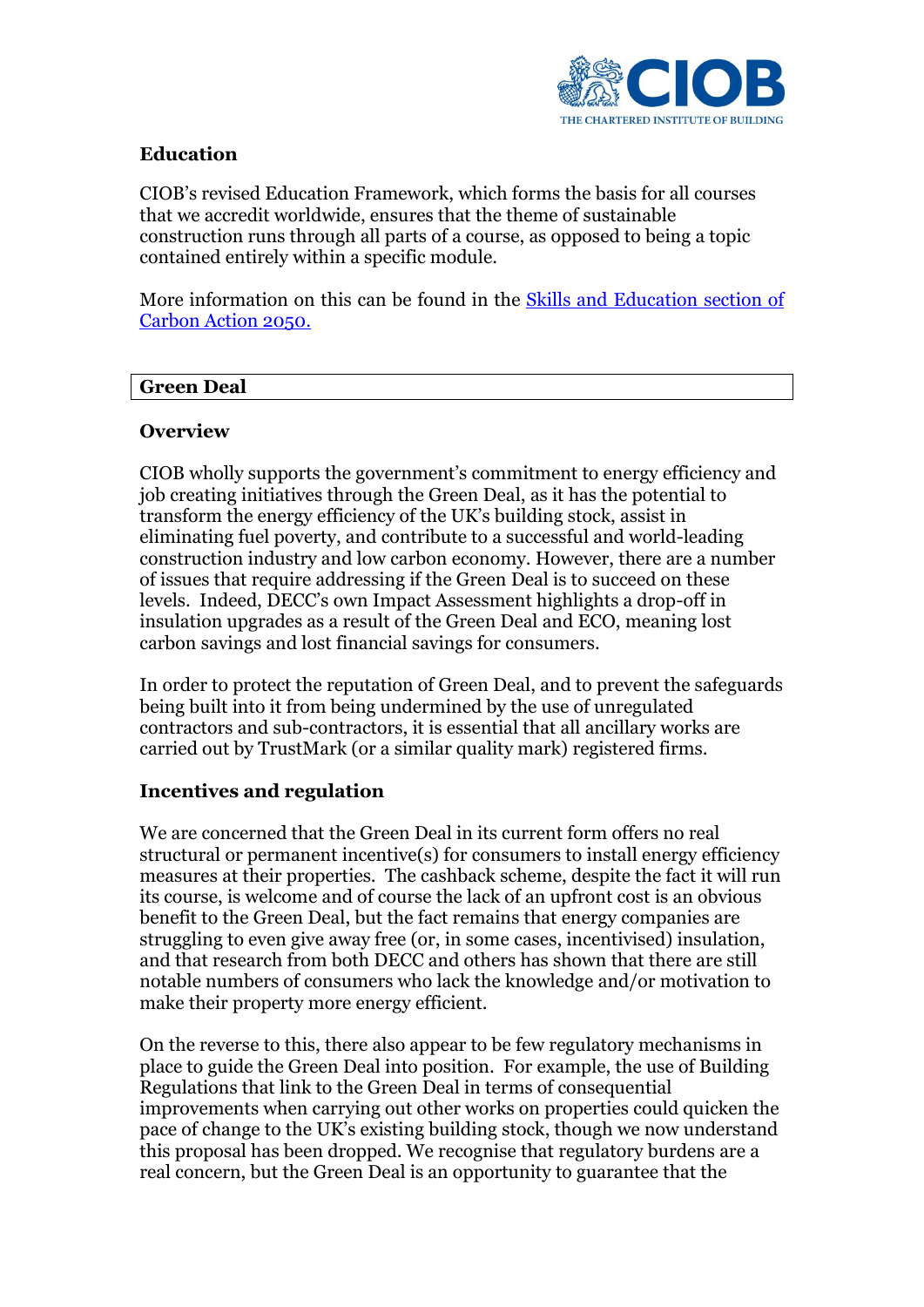

### **Education**

CIOB's revised Education Framework, which forms the basis for all courses that we accredit worldwide, ensures that the theme of sustainable construction runs through all parts of a course, as opposed to being a topic contained entirely within a specific module.

More information on this can be found in the [Skills and Education](http://www.carbonaction2050.com/resources/carbon-hub/action-plan/skills-education) section of [Carbon Action 2050.](http://www.carbonaction2050.com/resources/carbon-hub/action-plan/skills-education)

#### **Green Deal**

#### **Overview**

CIOB wholly supports the government's commitment to energy efficiency and job creating initiatives through the Green Deal, as it has the potential to transform the energy efficiency of the UK's building stock, assist in eliminating fuel poverty, and contribute to a successful and world-leading construction industry and low carbon economy. However, there are a number of issues that require addressing if the Green Deal is to succeed on these levels. Indeed, DECC's own Impact Assessment highlights a drop-off in insulation upgrades as a result of the Green Deal and ECO, meaning lost carbon savings and lost financial savings for consumers.

In order to protect the reputation of Green Deal, and to prevent the safeguards being built into it from being undermined by the use of unregulated contractors and sub-contractors, it is essential that all ancillary works are carried out by TrustMark (or a similar quality mark) registered firms.

#### **Incentives and regulation**

We are concerned that the Green Deal in its current form offers no real structural or permanent incentive(s) for consumers to install energy efficiency measures at their properties. The cashback scheme, despite the fact it will run its course, is welcome and of course the lack of an upfront cost is an obvious benefit to the Green Deal, but the fact remains that energy companies are struggling to even give away free (or, in some cases, incentivised) insulation, and that research from both DECC and others has shown that there are still notable numbers of consumers who lack the knowledge and/or motivation to make their property more energy efficient.

On the reverse to this, there also appear to be few regulatory mechanisms in place to guide the Green Deal into position. For example, the use of Building Regulations that link to the Green Deal in terms of consequential improvements when carrying out other works on properties could quicken the pace of change to the UK's existing building stock, though we now understand this proposal has been dropped. We recognise that regulatory burdens are a real concern, but the Green Deal is an opportunity to guarantee that the